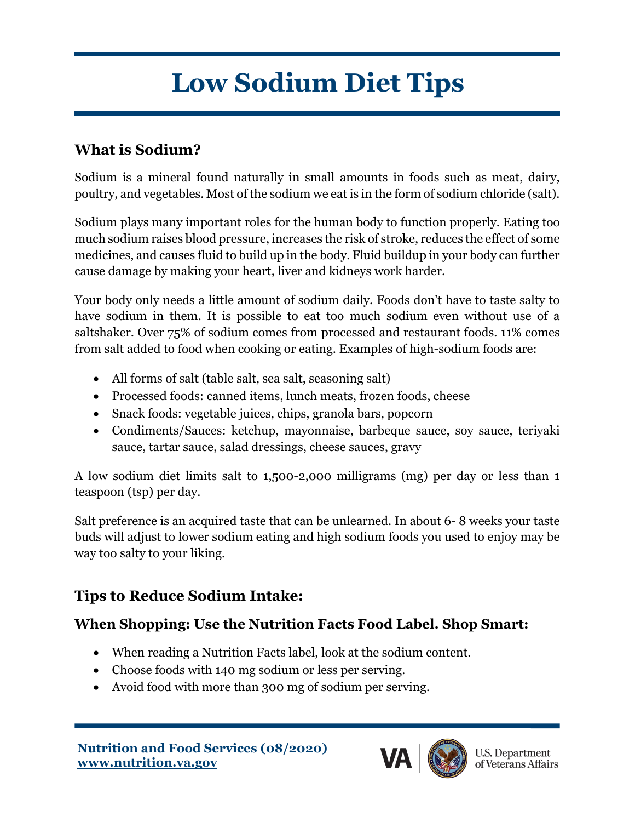# **Low Sodium Diet Tips**

### **What is Sodium?**

Sodium is a mineral found naturally in small amounts in foods such as meat, dairy, poultry, and vegetables. Most of the sodium we eat is in the form of sodium chloride (salt).

Sodium plays many important roles for the human body to function properly. Eating too much sodium raises blood pressure, increases the risk of stroke, reduces the effect of some medicines, and causes fluid to build up in the body. Fluid buildup in your body can further cause damage by making your heart, liver and kidneys work harder.

Your body only needs a little amount of sodium daily. Foods don't have to taste salty to have sodium in them. It is possible to eat too much sodium even without use of a saltshaker. Over 75% of sodium comes from processed and restaurant foods. 11% comes from salt added to food when cooking or eating. Examples of high-sodium foods are:

- All forms of salt (table salt, sea salt, seasoning salt)
- Processed foods: canned items, lunch meats, frozen foods, cheese
- Snack foods: vegetable juices, chips, granola bars, popcorn
- Condiments/Sauces: ketchup, mayonnaise, barbeque sauce, soy sauce, teriyaki sauce, tartar sauce, salad dressings, cheese sauces, gravy

A low sodium diet limits salt to 1,500-2,000 milligrams (mg) per day or less than 1 teaspoon (tsp) per day.

Salt preference is an acquired taste that can be unlearned. In about 6- 8 weeks your taste buds will adjust to lower sodium eating and high sodium foods you used to enjoy may be way too salty to your liking.

#### **Tips to Reduce Sodium Intake:**

#### **When Shopping: Use the Nutrition Facts Food Label. Shop Smart:**

- When reading a Nutrition Facts label, look at the sodium content.
- Choose foods with 140 mg sodium or less per serving.
- Avoid food with more than 300 mg of sodium per serving.



**U.S. Department** of Veterans Affairs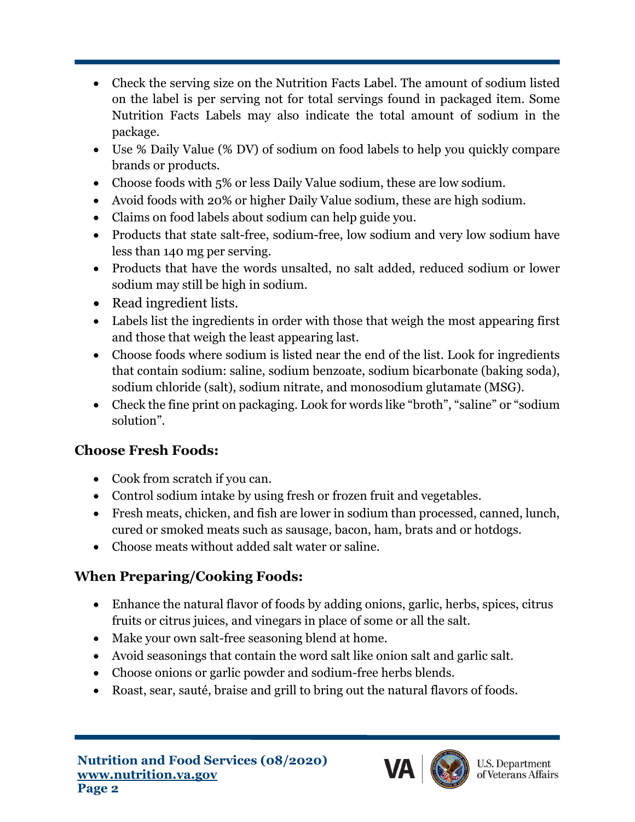- Check the serving size on the Nutrition Facts Label. The amount of sodium listed on the label is per serving not for total servings found in packaged item. Some Nutrition Facts Labels may also indicate the total amount of sodium in the package.
- Use % Daily Value (% DV) of sodium on food labels to help you quickly compare brands or products.
- Choose foods with 5% or less Daily Value sodium, these are low sodium.
- Avoid foods with 20% or higher Daily Value sodium, these are high sodium.
- Claims on food labels about sodium can help guide you.
- Products that state salt-free, sodium-free, low sodium and very low sodium have less than 140 mg per serving.
- Products that have the words unsalted, no salt added, reduced sodium or lower sodium may still be high in sodium.
- Read ingredient lists.
- Labels list the ingredients in order with those that weigh the most appearing first and those that weigh the least appearing last.
- Choose foods where sodium is listed near the end of the list. Look for ingredients that contain sodium: saline, sodium benzoate, sodium bicarbonate (baking soda), sodium chloride (salt), sodium nitrate, and monosodium glutamate (MSG).
- Check the fine print on packaging. Look for words like "broth", "saline" or "sodium solution".

## **Choose Fresh Foods:**

- Cook from scratch if you can.
- Control sodium intake by using fresh or frozen fruit and vegetables.
- Fresh meats, chicken, and fish are lower in sodium than processed, canned, lunch, cured or smoked meats such as sausage, bacon, ham, brats and or hotdogs.
- Choose meats without added salt water or saline.

# **When Preparing/Cooking Foods:**

- Enhance the natural flavor of foods by adding onions, garlic, herbs, spices, citrus fruits or citrus juices, and vinegars in place of some or all the salt.
- Make your own salt-free seasoning blend at home.
- Avoid seasonings that contain the word salt like onion salt and garlic salt.
- Choose onions or garlic powder and sodium-free herbs blends.
- Roast, sear, sauté, braise and grill to bring out the natural flavors of foods.